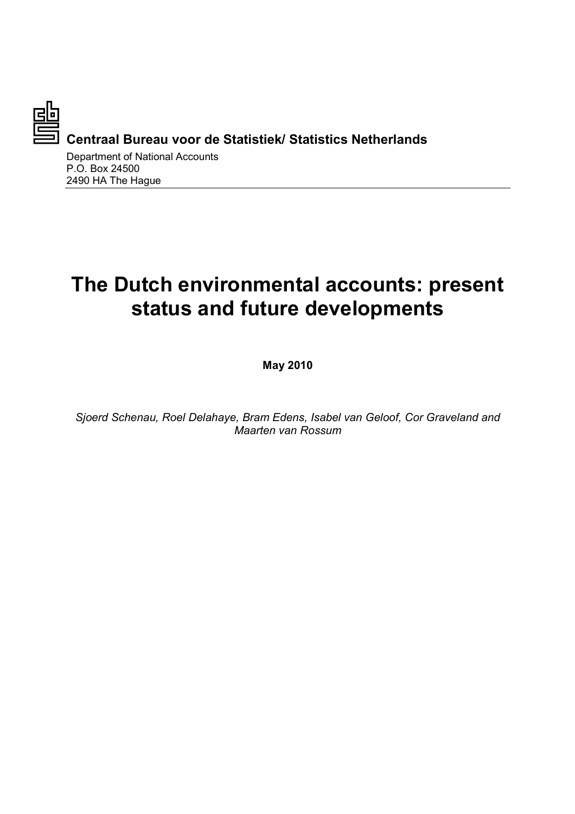

**Centraal Bureau voor de Statistiek/ Statistics Netherlands** 

Department of National Accounts P.O. Box 24500 2490 HA The Hague

# **The Dutch environmental accounts: present status and future developments**

**May 2010** 

*Sjoerd Schenau, Roel Delahaye, Bram Edens, Isabel van Geloof, Cor Graveland and Maarten van Rossum*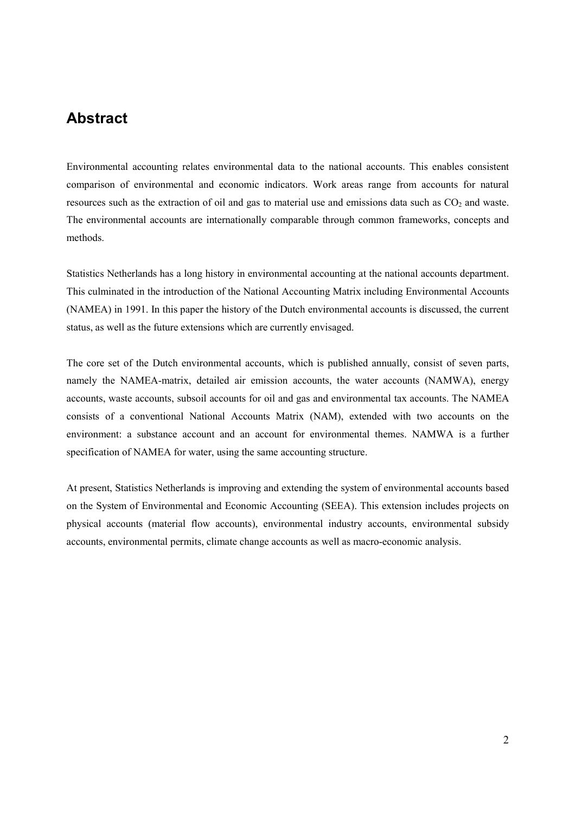## **Abstract**

Environmental accounting relates environmental data to the national accounts. This enables consistent comparison of environmental and economic indicators. Work areas range from accounts for natural resources such as the extraction of oil and gas to material use and emissions data such as  $CO<sub>2</sub>$  and waste. The environmental accounts are internationally comparable through common frameworks, concepts and methods.

Statistics Netherlands has a long history in environmental accounting at the national accounts department. This culminated in the introduction of the National Accounting Matrix including Environmental Accounts (NAMEA) in 1991. In this paper the history of the Dutch environmental accounts is discussed, the current status, as well as the future extensions which are currently envisaged.

The core set of the Dutch environmental accounts, which is published annually, consist of seven parts, namely the NAMEA-matrix, detailed air emission accounts, the water accounts (NAMWA), energy accounts, waste accounts, subsoil accounts for oil and gas and environmental tax accounts. The NAMEA consists of a conventional National Accounts Matrix (NAM), extended with two accounts on the environment: a substance account and an account for environmental themes. NAMWA is a further specification of NAMEA for water, using the same accounting structure.

At present, Statistics Netherlands is improving and extending the system of environmental accounts based on the System of Environmental and Economic Accounting (SEEA). This extension includes projects on physical accounts (material flow accounts), environmental industry accounts, environmental subsidy accounts, environmental permits, climate change accounts as well as macro-economic analysis.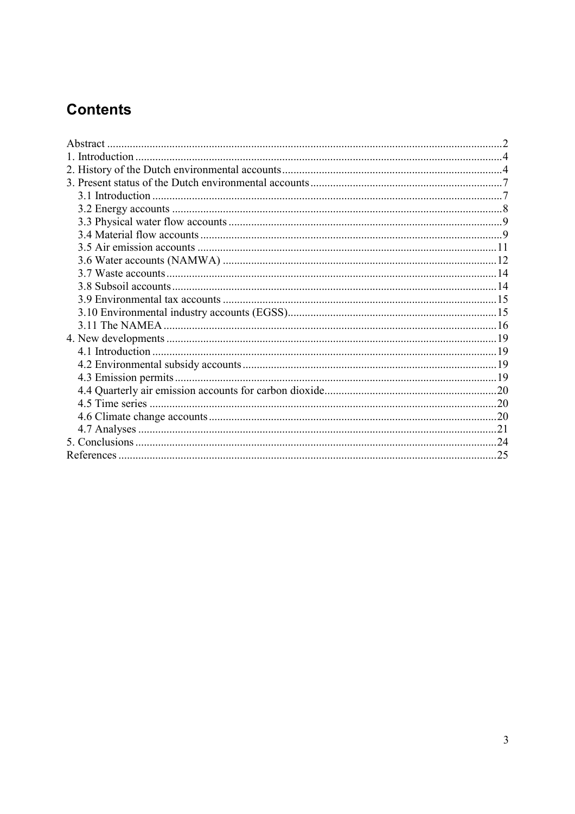# **Contents**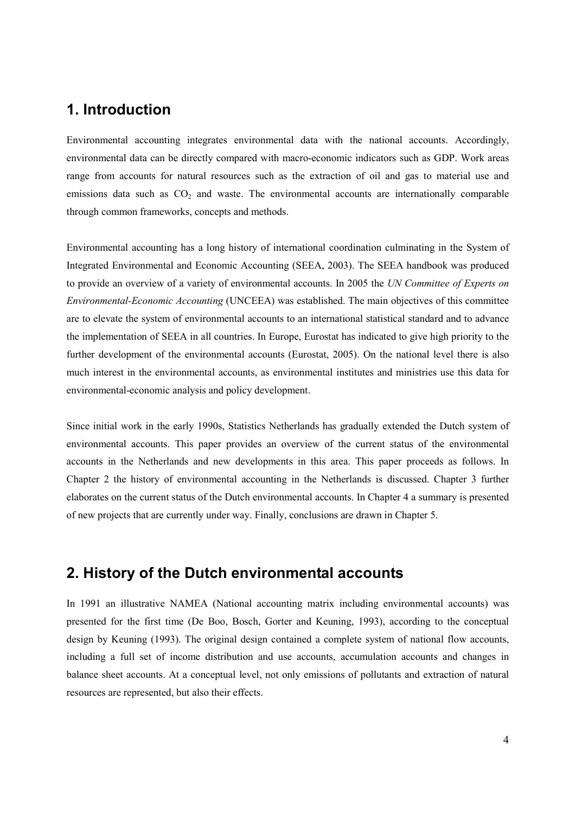## **1. Introduction**

Environmental accounting integrates environmental data with the national accounts. Accordingly, environmental data can be directly compared with macro-economic indicators such as GDP. Work areas range from accounts for natural resources such as the extraction of oil and gas to material use and emissions data such as  $CO<sub>2</sub>$  and waste. The environmental accounts are internationally comparable through common frameworks, concepts and methods.

Environmental accounting has a long history of international coordination culminating in the System of Integrated Environmental and Economic Accounting (SEEA, 2003). The SEEA handbook was produced to provide an overview of a variety of environmental accounts. In 2005 the *UN Committee of Experts on Environmental-Economic Accounting* (UNCEEA) was established. The main objectives of this committee are to elevate the system of environmental accounts to an international statistical standard and to advance the implementation of SEEA in all countries. In Europe, Eurostat has indicated to give high priority to the further development of the environmental accounts (Eurostat, 2005). On the national level there is also much interest in the environmental accounts, as environmental institutes and ministries use this data for environmental-economic analysis and policy development.

Since initial work in the early 1990s, Statistics Netherlands has gradually extended the Dutch system of environmental accounts. This paper provides an overview of the current status of the environmental accounts in the Netherlands and new developments in this area. This paper proceeds as follows. In Chapter 2 the history of environmental accounting in the Netherlands is discussed. Chapter 3 further elaborates on the current status of the Dutch environmental accounts. In Chapter 4 a summary is presented of new projects that are currently under way. Finally, conclusions are drawn in Chapter 5.

## **2. History of the Dutch environmental accounts**

In 1991 an illustrative NAMEA (National accounting matrix including environmental accounts) was presented for the first time (De Boo, Bosch, Gorter and Keuning, 1993), according to the conceptual design by Keuning (1993). The original design contained a complete system of national flow accounts, including a full set of income distribution and use accounts, accumulation accounts and changes in balance sheet accounts. At a conceptual level, not only emissions of pollutants and extraction of natural resources are represented, but also their effects.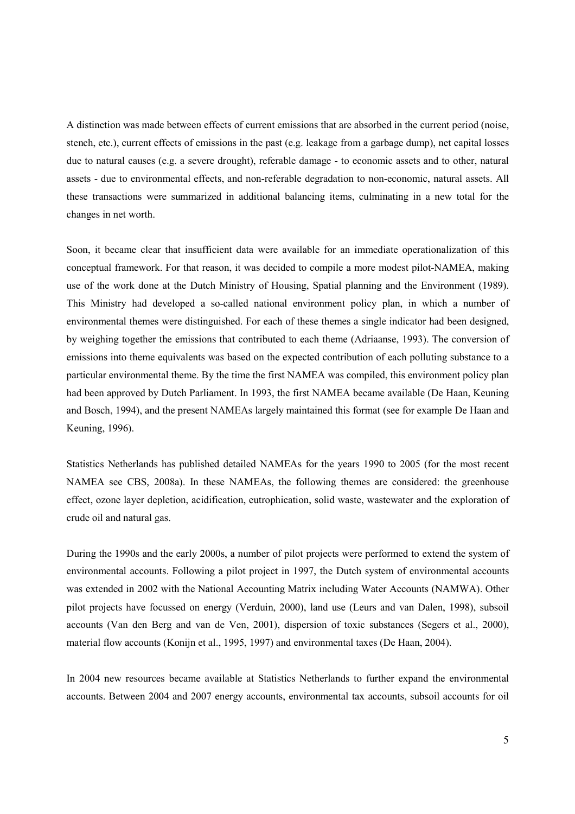A distinction was made between effects of current emissions that are absorbed in the current period (noise, stench, etc.), current effects of emissions in the past (e.g. leakage from a garbage dump), net capital losses due to natural causes (e.g. a severe drought), referable damage - to economic assets and to other, natural assets - due to environmental effects, and non-referable degradation to non-economic, natural assets. All these transactions were summarized in additional balancing items, culminating in a new total for the changes in net worth.

Soon, it became clear that insufficient data were available for an immediate operationalization of this conceptual framework. For that reason, it was decided to compile a more modest pilot-NAMEA, making use of the work done at the Dutch Ministry of Housing, Spatial planning and the Environment (1989). This Ministry had developed a so-called national environment policy plan, in which a number of environmental themes were distinguished. For each of these themes a single indicator had been designed, by weighing together the emissions that contributed to each theme (Adriaanse, 1993). The conversion of emissions into theme equivalents was based on the expected contribution of each polluting substance to a particular environmental theme. By the time the first NAMEA was compiled, this environment policy plan had been approved by Dutch Parliament. In 1993, the first NAMEA became available (De Haan, Keuning and Bosch, 1994), and the present NAMEAs largely maintained this format (see for example De Haan and Keuning, 1996).

Statistics Netherlands has published detailed NAMEAs for the years 1990 to 2005 (for the most recent NAMEA see CBS, 2008a). In these NAMEAs, the following themes are considered: the greenhouse effect, ozone layer depletion, acidification, eutrophication, solid waste, wastewater and the exploration of crude oil and natural gas.

During the 1990s and the early 2000s, a number of pilot projects were performed to extend the system of environmental accounts. Following a pilot project in 1997, the Dutch system of environmental accounts was extended in 2002 with the National Accounting Matrix including Water Accounts (NAMWA). Other pilot projects have focussed on energy (Verduin, 2000), land use (Leurs and van Dalen, 1998), subsoil accounts (Van den Berg and van de Ven, 2001), dispersion of toxic substances (Segers et al., 2000), material flow accounts (Konijn et al., 1995, 1997) and environmental taxes (De Haan, 2004).

In 2004 new resources became available at Statistics Netherlands to further expand the environmental accounts. Between 2004 and 2007 energy accounts, environmental tax accounts, subsoil accounts for oil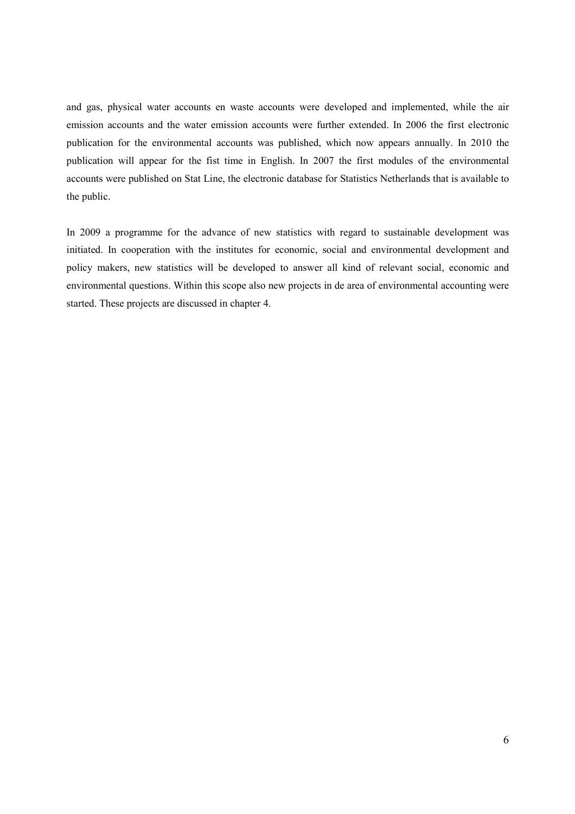and gas, physical water accounts en waste accounts were developed and implemented, while the air emission accounts and the water emission accounts were further extended. In 2006 the first electronic publication for the environmental accounts was published, which now appears annually. In 2010 the publication will appear for the fist time in English. In 2007 the first modules of the environmental accounts were published on Stat Line, the electronic database for Statistics Netherlands that is available to the public.

In 2009 a programme for the advance of new statistics with regard to sustainable development was initiated. In cooperation with the institutes for economic, social and environmental development and policy makers, new statistics will be developed to answer all kind of relevant social, economic and environmental questions. Within this scope also new projects in de area of environmental accounting were started. These projects are discussed in chapter 4.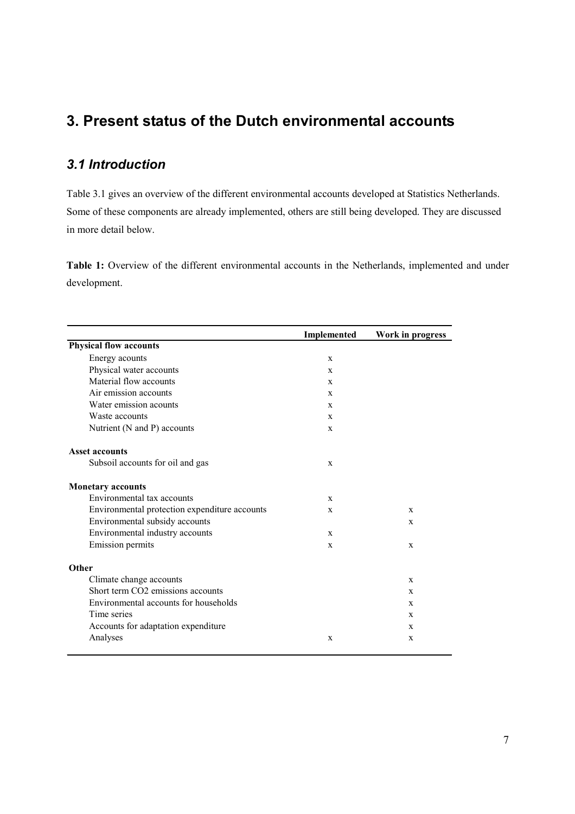## **3. Present status of the Dutch environmental accounts**

### *3.1 Introduction*

Table 3.1 gives an overview of the different environmental accounts developed at Statistics Netherlands. Some of these components are already implemented, others are still being developed. They are discussed in more detail below.

**Table 1:** Overview of the different environmental accounts in the Netherlands, implemented and under development.

|                                               | Implemented  | Work in progress |
|-----------------------------------------------|--------------|------------------|
| <b>Physical flow accounts</b>                 |              |                  |
| Energy acounts                                | $\mathbf{x}$ |                  |
| Physical water accounts                       | $\mathbf{x}$ |                  |
| Material flow accounts                        | $\mathbf{x}$ |                  |
| Air emission accounts                         | $\mathbf{x}$ |                  |
| Water emission acounts                        | X            |                  |
| Waste accounts                                | $\mathbf X$  |                  |
| Nutrient (N and P) accounts                   | $\mathbf{X}$ |                  |
| <b>Asset accounts</b>                         |              |                  |
| Subsoil accounts for oil and gas              | X            |                  |
| <b>Monetary accounts</b>                      |              |                  |
| Environmental tax accounts                    | $\mathbf{X}$ |                  |
| Environmental protection expenditure accounts | X            | X                |
| Environmental subsidy accounts                |              | X                |
| Environmental industry accounts               | X            |                  |
| <b>Emission</b> permits                       | $\mathbf X$  | X                |
| Other                                         |              |                  |
| Climate change accounts                       |              | X                |
| Short term CO <sub>2</sub> emissions accounts |              | X                |
| Environmental accounts for households         |              | X                |
| Time series                                   |              | X                |
| Accounts for adaptation expenditure           |              | X                |
| Analyses                                      | X            | X                |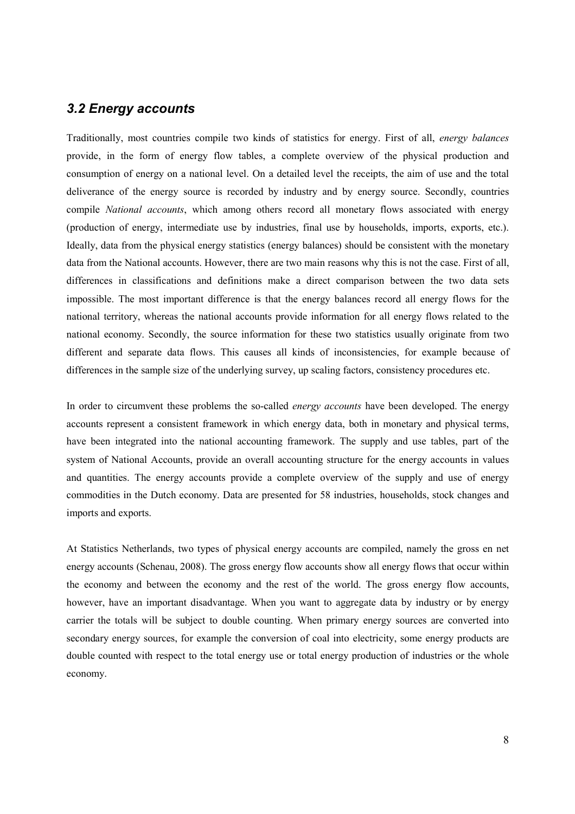#### *3.2 Energy accounts*

Traditionally, most countries compile two kinds of statistics for energy. First of all, *energy balances* provide, in the form of energy flow tables, a complete overview of the physical production and consumption of energy on a national level. On a detailed level the receipts, the aim of use and the total deliverance of the energy source is recorded by industry and by energy source. Secondly, countries compile *National accounts*, which among others record all monetary flows associated with energy (production of energy, intermediate use by industries, final use by households, imports, exports, etc.). Ideally, data from the physical energy statistics (energy balances) should be consistent with the monetary data from the National accounts. However, there are two main reasons why this is not the case. First of all, differences in classifications and definitions make a direct comparison between the two data sets impossible. The most important difference is that the energy balances record all energy flows for the national territory, whereas the national accounts provide information for all energy flows related to the national economy. Secondly, the source information for these two statistics usually originate from two different and separate data flows. This causes all kinds of inconsistencies, for example because of differences in the sample size of the underlying survey, up scaling factors, consistency procedures etc.

In order to circumvent these problems the so-called *energy accounts* have been developed. The energy accounts represent a consistent framework in which energy data, both in monetary and physical terms, have been integrated into the national accounting framework. The supply and use tables, part of the system of National Accounts, provide an overall accounting structure for the energy accounts in values and quantities. The energy accounts provide a complete overview of the supply and use of energy commodities in the Dutch economy. Data are presented for 58 industries, households, stock changes and imports and exports.

At Statistics Netherlands, two types of physical energy accounts are compiled, namely the gross en net energy accounts (Schenau, 2008). The gross energy flow accounts show all energy flows that occur within the economy and between the economy and the rest of the world. The gross energy flow accounts, however, have an important disadvantage. When you want to aggregate data by industry or by energy carrier the totals will be subject to double counting. When primary energy sources are converted into secondary energy sources, for example the conversion of coal into electricity, some energy products are double counted with respect to the total energy use or total energy production of industries or the whole economy.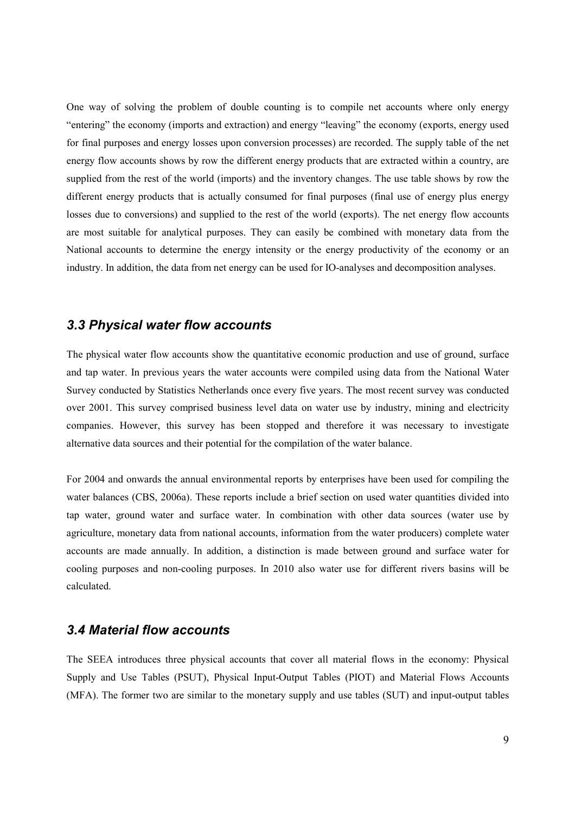One way of solving the problem of double counting is to compile net accounts where only energy "entering" the economy (imports and extraction) and energy "leaving" the economy (exports, energy used for final purposes and energy losses upon conversion processes) are recorded. The supply table of the net energy flow accounts shows by row the different energy products that are extracted within a country, are supplied from the rest of the world (imports) and the inventory changes. The use table shows by row the different energy products that is actually consumed for final purposes (final use of energy plus energy losses due to conversions) and supplied to the rest of the world (exports). The net energy flow accounts are most suitable for analytical purposes. They can easily be combined with monetary data from the National accounts to determine the energy intensity or the energy productivity of the economy or an industry. In addition, the data from net energy can be used for IO-analyses and decomposition analyses.

#### *3.3 Physical water flow accounts*

The physical water flow accounts show the quantitative economic production and use of ground, surface and tap water. In previous years the water accounts were compiled using data from the National Water Survey conducted by Statistics Netherlands once every five years. The most recent survey was conducted over 2001. This survey comprised business level data on water use by industry, mining and electricity companies. However, this survey has been stopped and therefore it was necessary to investigate alternative data sources and their potential for the compilation of the water balance.

For 2004 and onwards the annual environmental reports by enterprises have been used for compiling the water balances (CBS, 2006a). These reports include a brief section on used water quantities divided into tap water, ground water and surface water. In combination with other data sources (water use by agriculture, monetary data from national accounts, information from the water producers) complete water accounts are made annually. In addition, a distinction is made between ground and surface water for cooling purposes and non-cooling purposes. In 2010 also water use for different rivers basins will be calculated.

#### *3.4 Material flow accounts*

The SEEA introduces three physical accounts that cover all material flows in the economy: Physical Supply and Use Tables (PSUT), Physical Input-Output Tables (PIOT) and Material Flows Accounts (MFA). The former two are similar to the monetary supply and use tables (SUT) and input-output tables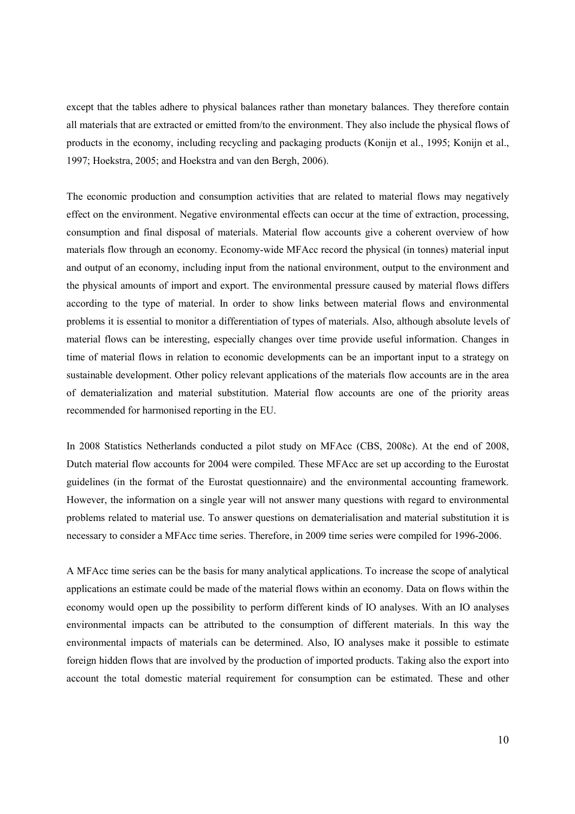except that the tables adhere to physical balances rather than monetary balances. They therefore contain all materials that are extracted or emitted from/to the environment. They also include the physical flows of products in the economy, including recycling and packaging products (Konijn et al., 1995; Konijn et al., 1997; Hoekstra, 2005; and Hoekstra and van den Bergh, 2006).

The economic production and consumption activities that are related to material flows may negatively effect on the environment. Negative environmental effects can occur at the time of extraction, processing, consumption and final disposal of materials. Material flow accounts give a coherent overview of how materials flow through an economy. Economy-wide MFAcc record the physical (in tonnes) material input and output of an economy, including input from the national environment, output to the environment and the physical amounts of import and export. The environmental pressure caused by material flows differs according to the type of material. In order to show links between material flows and environmental problems it is essential to monitor a differentiation of types of materials. Also, although absolute levels of material flows can be interesting, especially changes over time provide useful information. Changes in time of material flows in relation to economic developments can be an important input to a strategy on sustainable development. Other policy relevant applications of the materials flow accounts are in the area of dematerialization and material substitution. Material flow accounts are one of the priority areas recommended for harmonised reporting in the EU.

In 2008 Statistics Netherlands conducted a pilot study on MFAcc (CBS, 2008c). At the end of 2008, Dutch material flow accounts for 2004 were compiled. These MFAcc are set up according to the Eurostat guidelines (in the format of the Eurostat questionnaire) and the environmental accounting framework. However, the information on a single year will not answer many questions with regard to environmental problems related to material use. To answer questions on dematerialisation and material substitution it is necessary to consider a MFAcc time series. Therefore, in 2009 time series were compiled for 1996-2006.

A MFAcc time series can be the basis for many analytical applications. To increase the scope of analytical applications an estimate could be made of the material flows within an economy. Data on flows within the economy would open up the possibility to perform different kinds of IO analyses. With an IO analyses environmental impacts can be attributed to the consumption of different materials. In this way the environmental impacts of materials can be determined. Also, IO analyses make it possible to estimate foreign hidden flows that are involved by the production of imported products. Taking also the export into account the total domestic material requirement for consumption can be estimated. These and other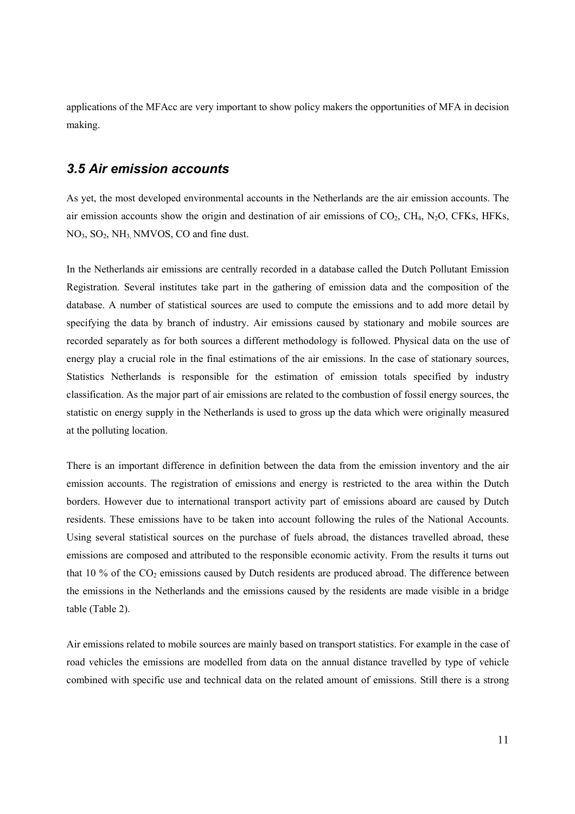applications of the MFAcc are very important to show policy makers the opportunities of MFA in decision making.

#### *3.5 Air emission accounts*

As yet, the most developed environmental accounts in the Netherlands are the air emission accounts. The air emission accounts show the origin and destination of air emissions of  $CO<sub>2</sub>$ ,  $CH<sub>4</sub>$ ,  $N<sub>2</sub>O$ ,  $CFKs$ , HFKs, NO<sub>3</sub>, SO<sub>2</sub>, NH<sub>3</sub>, NMVOS, CO and fine dust.

In the Netherlands air emissions are centrally recorded in a database called the Dutch Pollutant Emission Registration. Several institutes take part in the gathering of emission data and the composition of the database. A number of statistical sources are used to compute the emissions and to add more detail by specifying the data by branch of industry. Air emissions caused by stationary and mobile sources are recorded separately as for both sources a different methodology is followed. Physical data on the use of energy play a crucial role in the final estimations of the air emissions. In the case of stationary sources, Statistics Netherlands is responsible for the estimation of emission totals specified by industry classification. As the major part of air emissions are related to the combustion of fossil energy sources, the statistic on energy supply in the Netherlands is used to gross up the data which were originally measured at the polluting location.

There is an important difference in definition between the data from the emission inventory and the air emission accounts. The registration of emissions and energy is restricted to the area within the Dutch borders. However due to international transport activity part of emissions aboard are caused by Dutch residents. These emissions have to be taken into account following the rules of the National Accounts. Using several statistical sources on the purchase of fuels abroad, the distances travelled abroad, these emissions are composed and attributed to the responsible economic activity. From the results it turns out that 10 % of the  $CO_2$  emissions caused by Dutch residents are produced abroad. The difference between the emissions in the Netherlands and the emissions caused by the residents are made visible in a bridge table (Table 2).

Air emissions related to mobile sources are mainly based on transport statistics. For example in the case of road vehicles the emissions are modelled from data on the annual distance travelled by type of vehicle combined with specific use and technical data on the related amount of emissions. Still there is a strong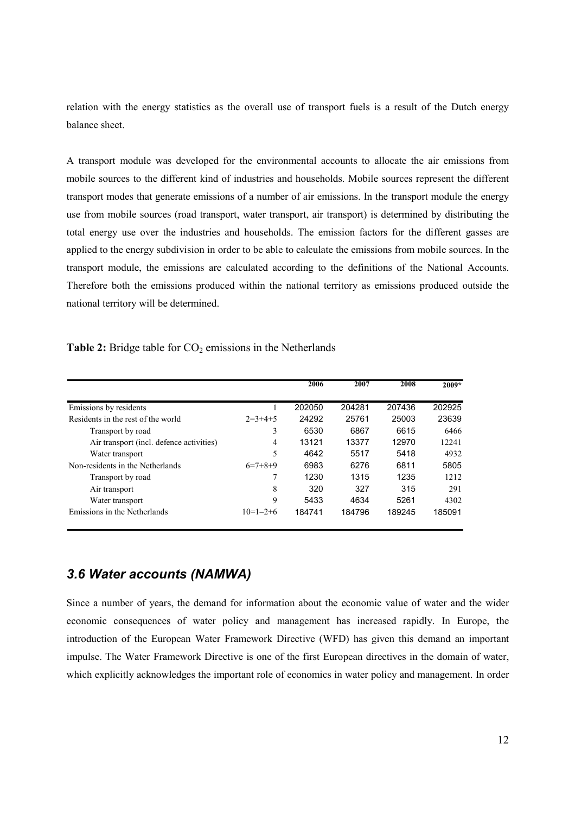relation with the energy statistics as the overall use of transport fuels is a result of the Dutch energy balance sheet.

A transport module was developed for the environmental accounts to allocate the air emissions from mobile sources to the different kind of industries and households. Mobile sources represent the different transport modes that generate emissions of a number of air emissions. In the transport module the energy use from mobile sources (road transport, water transport, air transport) is determined by distributing the total energy use over the industries and households. The emission factors for the different gasses are applied to the energy subdivision in order to be able to calculate the emissions from mobile sources. In the transport module, the emissions are calculated according to the definitions of the National Accounts. Therefore both the emissions produced within the national territory as emissions produced outside the national territory will be determined.

Table 2: Bridge table for CO<sub>2</sub> emissions in the Netherlands

|                                          |            | 2006   | 2007   | 2008   | $2009*$ |
|------------------------------------------|------------|--------|--------|--------|---------|
| Emissions by residents                   |            | 202050 | 204281 | 207436 | 202925  |
| Residents in the rest of the world       | $2=3+4+5$  | 24292  | 25761  | 25003  | 23639   |
| Transport by road                        | 3          | 6530   | 6867   | 6615   | 6466    |
| Air transport (incl. defence activities) | 4          | 13121  | 13377  | 12970  | 12241   |
| Water transport                          | 5          | 4642   | 5517   | 5418   | 4932    |
| Non-residents in the Netherlands         | $6=7+8+9$  | 6983   | 6276   | 6811   | 5805    |
| Transport by road                        | 7          | 1230   | 1315   | 1235   | 12.12   |
| Air transport                            | 8          | 320    | 327    | 315    | 291     |
| Water transport                          | 9          | 5433   | 4634   | 5261   | 4302    |
| Emissions in the Netherlands             | $10=1-2+6$ | 184741 | 184796 | 189245 | 185091  |

#### *3.6 Water accounts (NAMWA)*

Since a number of years, the demand for information about the economic value of water and the wider economic consequences of water policy and management has increased rapidly. In Europe, the introduction of the European Water Framework Directive (WFD) has given this demand an important impulse. The Water Framework Directive is one of the first European directives in the domain of water, which explicitly acknowledges the important role of economics in water policy and management. In order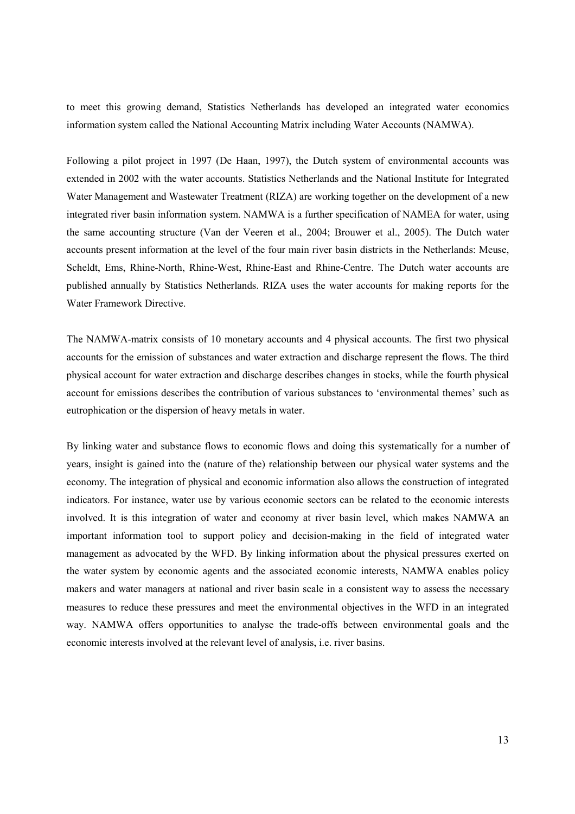to meet this growing demand, Statistics Netherlands has developed an integrated water economics information system called the National Accounting Matrix including Water Accounts (NAMWA).

Following a pilot project in 1997 (De Haan, 1997), the Dutch system of environmental accounts was extended in 2002 with the water accounts. Statistics Netherlands and the National Institute for Integrated Water Management and Wastewater Treatment (RIZA) are working together on the development of a new integrated river basin information system. NAMWA is a further specification of NAMEA for water, using the same accounting structure (Van der Veeren et al., 2004; Brouwer et al., 2005). The Dutch water accounts present information at the level of the four main river basin districts in the Netherlands: Meuse, Scheldt, Ems, Rhine-North, Rhine-West, Rhine-East and Rhine-Centre. The Dutch water accounts are published annually by Statistics Netherlands. RIZA uses the water accounts for making reports for the Water Framework Directive.

The NAMWA-matrix consists of 10 monetary accounts and 4 physical accounts. The first two physical accounts for the emission of substances and water extraction and discharge represent the flows. The third physical account for water extraction and discharge describes changes in stocks, while the fourth physical account for emissions describes the contribution of various substances to 'environmental themes' such as eutrophication or the dispersion of heavy metals in water.

By linking water and substance flows to economic flows and doing this systematically for a number of years, insight is gained into the (nature of the) relationship between our physical water systems and the economy. The integration of physical and economic information also allows the construction of integrated indicators. For instance, water use by various economic sectors can be related to the economic interests involved. It is this integration of water and economy at river basin level, which makes NAMWA an important information tool to support policy and decision-making in the field of integrated water management as advocated by the WFD. By linking information about the physical pressures exerted on the water system by economic agents and the associated economic interests, NAMWA enables policy makers and water managers at national and river basin scale in a consistent way to assess the necessary measures to reduce these pressures and meet the environmental objectives in the WFD in an integrated way. NAMWA offers opportunities to analyse the trade-offs between environmental goals and the economic interests involved at the relevant level of analysis, i.e. river basins.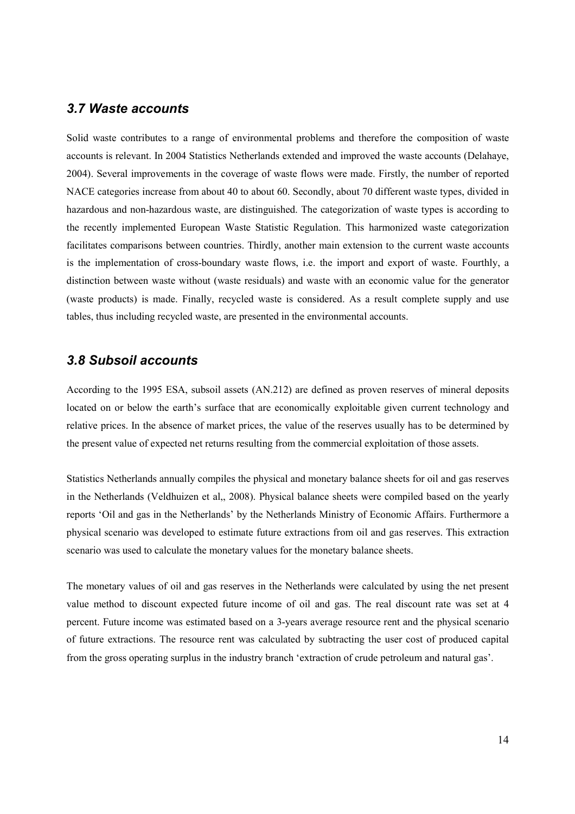#### *3.7 Waste accounts*

Solid waste contributes to a range of environmental problems and therefore the composition of waste accounts is relevant. In 2004 Statistics Netherlands extended and improved the waste accounts (Delahaye, 2004). Several improvements in the coverage of waste flows were made. Firstly, the number of reported NACE categories increase from about 40 to about 60. Secondly, about 70 different waste types, divided in hazardous and non-hazardous waste, are distinguished. The categorization of waste types is according to the recently implemented European Waste Statistic Regulation. This harmonized waste categorization facilitates comparisons between countries. Thirdly, another main extension to the current waste accounts is the implementation of cross-boundary waste flows, i.e. the import and export of waste. Fourthly, a distinction between waste without (waste residuals) and waste with an economic value for the generator (waste products) is made. Finally, recycled waste is considered. As a result complete supply and use tables, thus including recycled waste, are presented in the environmental accounts.

### *3.8 Subsoil accounts*

According to the 1995 ESA, subsoil assets (AN.212) are defined as proven reserves of mineral deposits located on or below the earth's surface that are economically exploitable given current technology and relative prices. In the absence of market prices, the value of the reserves usually has to be determined by the present value of expected net returns resulting from the commercial exploitation of those assets.

Statistics Netherlands annually compiles the physical and monetary balance sheets for oil and gas reserves in the Netherlands (Veldhuizen et al,, 2008). Physical balance sheets were compiled based on the yearly reports 'Oil and gas in the Netherlands' by the Netherlands Ministry of Economic Affairs. Furthermore a physical scenario was developed to estimate future extractions from oil and gas reserves. This extraction scenario was used to calculate the monetary values for the monetary balance sheets.

The monetary values of oil and gas reserves in the Netherlands were calculated by using the net present value method to discount expected future income of oil and gas. The real discount rate was set at 4 percent. Future income was estimated based on a 3-years average resource rent and the physical scenario of future extractions. The resource rent was calculated by subtracting the user cost of produced capital from the gross operating surplus in the industry branch 'extraction of crude petroleum and natural gas'.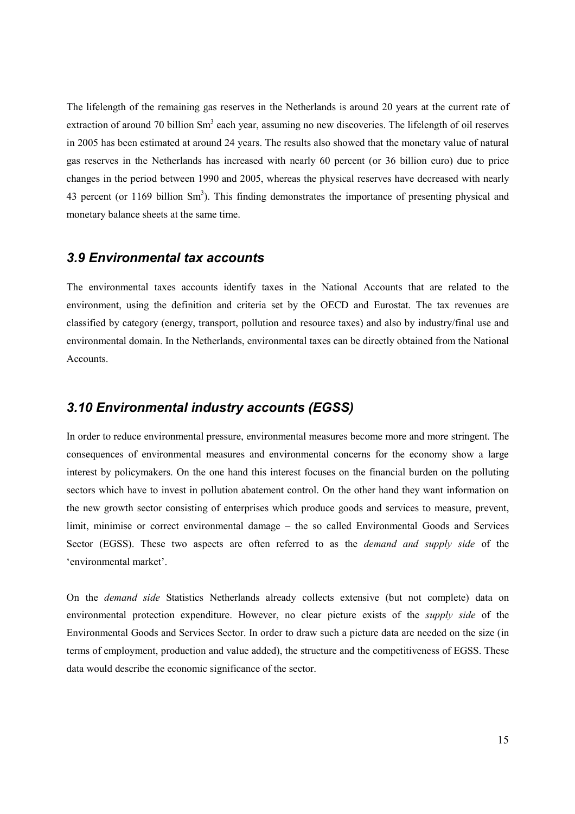The lifelength of the remaining gas reserves in the Netherlands is around 20 years at the current rate of extraction of around 70 billion Sm<sup>3</sup> each year, assuming no new discoveries. The lifelength of oil reserves in 2005 has been estimated at around 24 years. The results also showed that the monetary value of natural gas reserves in the Netherlands has increased with nearly 60 percent (or 36 billion euro) due to price changes in the period between 1990 and 2005, whereas the physical reserves have decreased with nearly 43 percent (or  $1169$  billion Sm<sup>3</sup>). This finding demonstrates the importance of presenting physical and monetary balance sheets at the same time.

#### *3.9 Environmental tax accounts*

The environmental taxes accounts identify taxes in the National Accounts that are related to the environment, using the definition and criteria set by the OECD and Eurostat. The tax revenues are classified by category (energy, transport, pollution and resource taxes) and also by industry/final use and environmental domain. In the Netherlands, environmental taxes can be directly obtained from the National Accounts.

#### *3.10 Environmental industry accounts (EGSS)*

In order to reduce environmental pressure, environmental measures become more and more stringent. The consequences of environmental measures and environmental concerns for the economy show a large interest by policymakers. On the one hand this interest focuses on the financial burden on the polluting sectors which have to invest in pollution abatement control. On the other hand they want information on the new growth sector consisting of enterprises which produce goods and services to measure, prevent, limit, minimise or correct environmental damage – the so called Environmental Goods and Services Sector (EGSS). These two aspects are often referred to as the *demand and supply side* of the 'environmental market'.

On the *demand side* Statistics Netherlands already collects extensive (but not complete) data on environmental protection expenditure. However, no clear picture exists of the *supply side* of the Environmental Goods and Services Sector. In order to draw such a picture data are needed on the size (in terms of employment, production and value added), the structure and the competitiveness of EGSS. These data would describe the economic significance of the sector.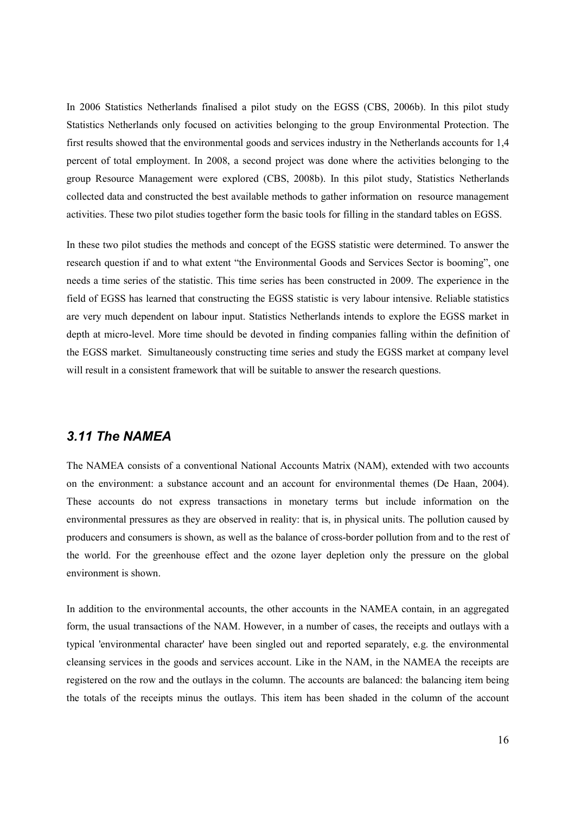In 2006 Statistics Netherlands finalised a pilot study on the EGSS (CBS, 2006b). In this pilot study Statistics Netherlands only focused on activities belonging to the group Environmental Protection. The first results showed that the environmental goods and services industry in the Netherlands accounts for 1,4 percent of total employment. In 2008, a second project was done where the activities belonging to the group Resource Management were explored (CBS, 2008b). In this pilot study, Statistics Netherlands collected data and constructed the best available methods to gather information on resource management activities. These two pilot studies together form the basic tools for filling in the standard tables on EGSS.

In these two pilot studies the methods and concept of the EGSS statistic were determined. To answer the research question if and to what extent "the Environmental Goods and Services Sector is booming", one needs a time series of the statistic. This time series has been constructed in 2009. The experience in the field of EGSS has learned that constructing the EGSS statistic is very labour intensive. Reliable statistics are very much dependent on labour input. Statistics Netherlands intends to explore the EGSS market in depth at micro-level. More time should be devoted in finding companies falling within the definition of the EGSS market. Simultaneously constructing time series and study the EGSS market at company level will result in a consistent framework that will be suitable to answer the research questions.

#### *3.11 The NAMEA*

The NAMEA consists of a conventional National Accounts Matrix (NAM), extended with two accounts on the environment: a substance account and an account for environmental themes (De Haan, 2004). These accounts do not express transactions in monetary terms but include information on the environmental pressures as they are observed in reality: that is, in physical units. The pollution caused by producers and consumers is shown, as well as the balance of cross-border pollution from and to the rest of the world. For the greenhouse effect and the ozone layer depletion only the pressure on the global environment is shown.

In addition to the environmental accounts, the other accounts in the NAMEA contain, in an aggregated form, the usual transactions of the NAM. However, in a number of cases, the receipts and outlays with a typical 'environmental character' have been singled out and reported separately, e.g. the environmental cleansing services in the goods and services account. Like in the NAM, in the NAMEA the receipts are registered on the row and the outlays in the column. The accounts are balanced: the balancing item being the totals of the receipts minus the outlays. This item has been shaded in the column of the account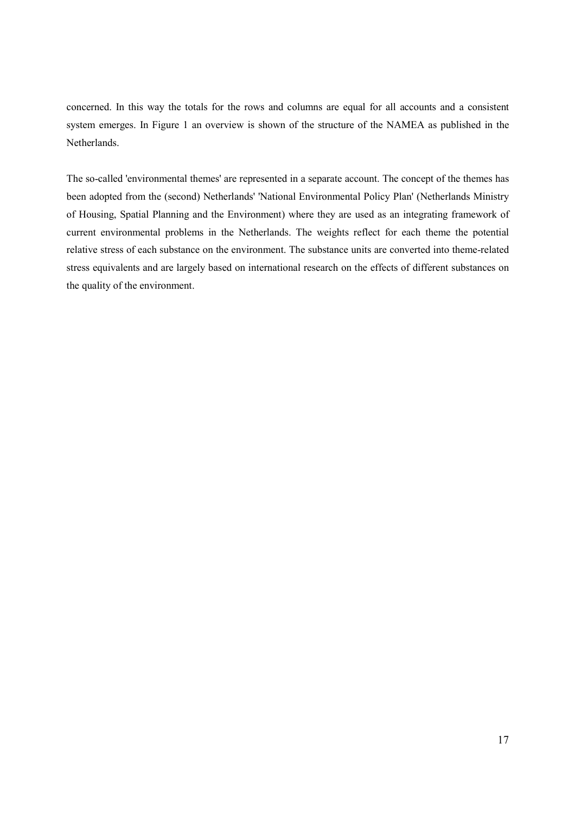concerned. In this way the totals for the rows and columns are equal for all accounts and a consistent system emerges. In Figure 1 an overview is shown of the structure of the NAMEA as published in the Netherlands.

The so-called 'environmental themes' are represented in a separate account. The concept of the themes has been adopted from the (second) Netherlands' 'National Environmental Policy Plan' (Netherlands Ministry of Housing, Spatial Planning and the Environment) where they are used as an integrating framework of current environmental problems in the Netherlands. The weights reflect for each theme the potential relative stress of each substance on the environment. The substance units are converted into theme-related stress equivalents and are largely based on international research on the effects of different substances on the quality of the environment.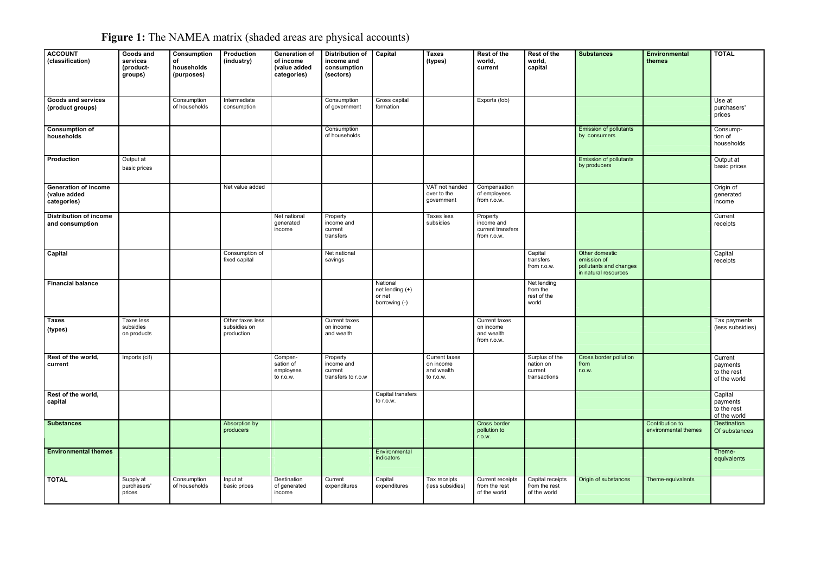| <b>ACCOUNT</b><br>(classification)                  | Goods and<br>services<br>(product-<br>groups) | Consumption<br>of<br>households<br>(purposes) | Production<br>(industry)                       | Generation of<br>of income<br>(value added<br>categories) | <b>Distribution of</b><br>income and<br>consumption<br>(sectors) | Capital                                                | <b>Taxes</b><br>(types)                               | Rest of the<br>world,<br>current                           | Rest of the<br>world,<br>capital                       | <b>Substances</b>                                                               | Environmental<br>themes                 | <b>TOTAL</b>                                       |
|-----------------------------------------------------|-----------------------------------------------|-----------------------------------------------|------------------------------------------------|-----------------------------------------------------------|------------------------------------------------------------------|--------------------------------------------------------|-------------------------------------------------------|------------------------------------------------------------|--------------------------------------------------------|---------------------------------------------------------------------------------|-----------------------------------------|----------------------------------------------------|
| Goods and services<br>(product groups)              |                                               | Consumption<br>of households                  | Intermediate<br>consumption                    |                                                           | Consumption<br>of government                                     | Gross capital<br>formation                             |                                                       | Exports (fob)                                              |                                                        |                                                                                 |                                         | Use at<br>purchasers'<br>prices                    |
| <b>Consumption of</b><br>households                 |                                               |                                               |                                                |                                                           | Consumption<br>of households                                     |                                                        |                                                       |                                                            |                                                        | <b>Emission of pollutants</b><br>by consumers                                   |                                         | Consump-<br>tion of<br>households                  |
| Production                                          | Output at<br>basic prices                     |                                               |                                                |                                                           |                                                                  |                                                        |                                                       |                                                            |                                                        | <b>Emission of pollutants</b><br>by producers                                   |                                         | Output at<br>basic prices                          |
| Generation of income<br>(value added<br>categories) |                                               |                                               | Net value added                                |                                                           |                                                                  |                                                        | VAT not handed<br>over to the<br>government           | Compensation<br>of employees<br>from r.o.w.                |                                                        |                                                                                 |                                         | Origin of<br>generated<br>income                   |
| <b>Distribution of income</b><br>and consumption    |                                               |                                               |                                                | Net national<br>generated<br>income                       | Property<br>income and<br>current<br>transfers                   |                                                        | <b>Taxes</b> less<br>subsidies                        | Property<br>income and<br>current transfers<br>from r.o.w. |                                                        |                                                                                 |                                         | Current<br>receipts                                |
| Capital                                             |                                               |                                               | Consumption of<br>fixed capital                |                                                           | Net national<br>savings                                          |                                                        |                                                       |                                                            | Capital<br>transfers<br>from r.o.w.                    | Other domestic<br>emission of<br>pollutants and changes<br>in natural resources |                                         | Capital<br>receipts                                |
| <b>Financial balance</b>                            |                                               |                                               |                                                |                                                           |                                                                  | National<br>net lending (+)<br>or net<br>borrowing (-) |                                                       |                                                            | Net lending<br>from the<br>rest of the<br>world        |                                                                                 |                                         |                                                    |
| <b>Taxes</b><br>(types)                             | <b>Taxes</b> less<br>subsidies<br>on products |                                               | Other taxes less<br>subsidies on<br>production |                                                           | <b>Current taxes</b><br>on income<br>and wealth                  |                                                        |                                                       | Current taxes<br>on income<br>and wealth<br>from r.o.w.    |                                                        |                                                                                 |                                         | Tax payments<br>(less subsidies)                   |
| Rest of the world,<br>current                       | Imports (cif)                                 |                                               |                                                | Compen-<br>sation of<br>employees<br>to r.o.w.            | Property<br>income and<br>current<br>transfers to r.o.w          |                                                        | Current taxes<br>on income<br>and wealth<br>to r.o.w. |                                                            | Surplus of the<br>nation on<br>current<br>transactions | Cross border pollution<br>from<br>r.o.w.                                        |                                         | Current<br>payments<br>to the rest<br>of the world |
| Rest of the world,<br>capital                       |                                               |                                               |                                                |                                                           |                                                                  | Capital transfers<br>to r.o.w.                         |                                                       |                                                            |                                                        |                                                                                 |                                         | Capital<br>payments<br>to the rest<br>of the world |
| <b>Substances</b>                                   |                                               |                                               | Absorption by<br>producers                     |                                                           |                                                                  |                                                        |                                                       | Cross border<br>pollution to<br>r.o.w.                     |                                                        |                                                                                 | Contribution to<br>environmental themes | <b>Destination</b><br>Of substances                |
| <b>Environmental themes</b>                         |                                               |                                               |                                                |                                                           |                                                                  | Environmental<br><b>indicators</b>                     |                                                       |                                                            |                                                        |                                                                                 |                                         | Theme-<br>equivalents                              |
| <b>TOTAL</b>                                        | Supply at<br>purchasers'<br>prices            | Consumption<br>of households                  | Input at<br>basic prices                       | Destination<br>of generated<br>income                     | Current<br>expenditures                                          | Capital<br>expenditures                                | Tax receipts<br>(less subsidies)                      | Current receipts<br>from the rest<br>of the world          | Capital receipts<br>from the rest<br>of the world      | Origin of substances                                                            | Theme-equivalents                       |                                                    |

**Figure 1:** The NAMEA matrix (shaded areas are physical accounts)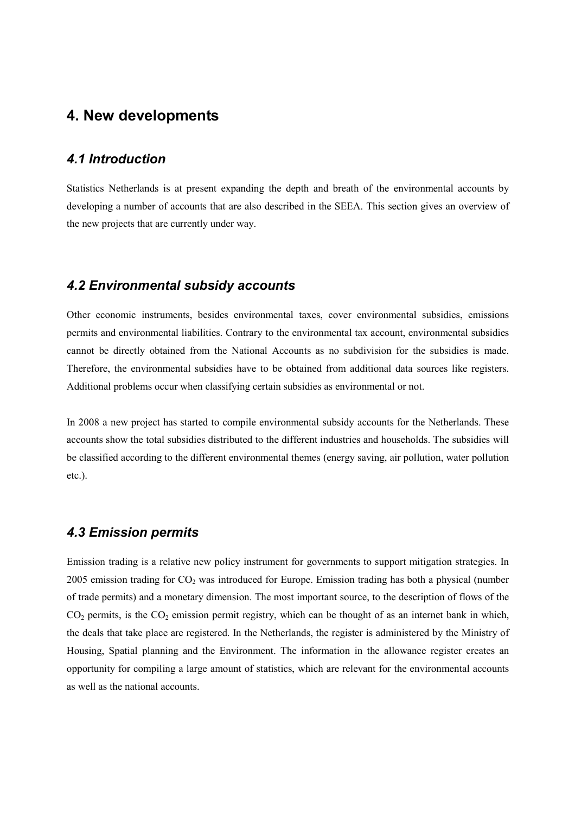## **4. New developments**

#### *4.1 Introduction*

Statistics Netherlands is at present expanding the depth and breath of the environmental accounts by developing a number of accounts that are also described in the SEEA. This section gives an overview of the new projects that are currently under way.

#### *4.2 Environmental subsidy accounts*

Other economic instruments, besides environmental taxes, cover environmental subsidies, emissions permits and environmental liabilities. Contrary to the environmental tax account, environmental subsidies cannot be directly obtained from the National Accounts as no subdivision for the subsidies is made. Therefore, the environmental subsidies have to be obtained from additional data sources like registers. Additional problems occur when classifying certain subsidies as environmental or not.

In 2008 a new project has started to compile environmental subsidy accounts for the Netherlands. These accounts show the total subsidies distributed to the different industries and households. The subsidies will be classified according to the different environmental themes (energy saving, air pollution, water pollution etc.).

#### *4.3 Emission permits*

Emission trading is a relative new policy instrument for governments to support mitigation strategies. In 2005 emission trading for  $CO<sub>2</sub>$  was introduced for Europe. Emission trading has both a physical (number of trade permits) and a monetary dimension. The most important source, to the description of flows of the  $CO<sub>2</sub>$  permits, is the  $CO<sub>2</sub>$  emission permit registry, which can be thought of as an internet bank in which, the deals that take place are registered. In the Netherlands, the register is administered by the Ministry of Housing, Spatial planning and the Environment. The information in the allowance register creates an opportunity for compiling a large amount of statistics, which are relevant for the environmental accounts as well as the national accounts.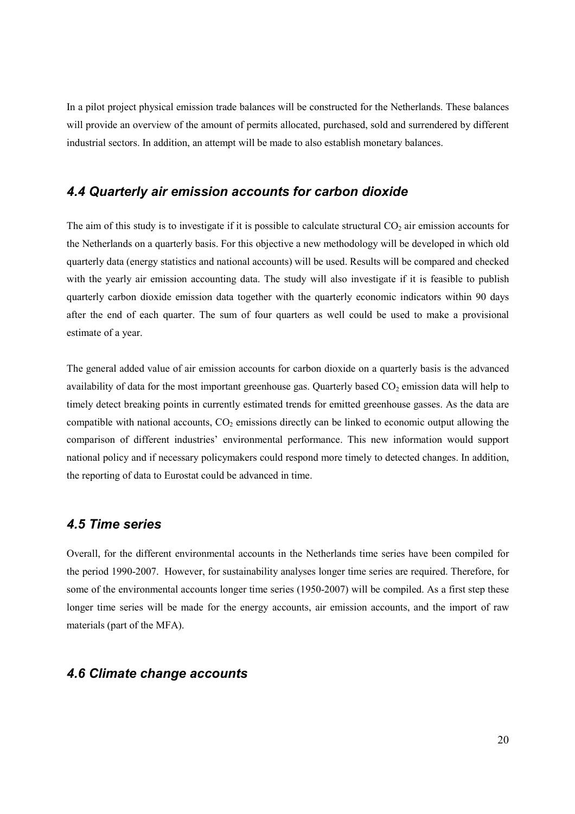In a pilot project physical emission trade balances will be constructed for the Netherlands. These balances will provide an overview of the amount of permits allocated, purchased, sold and surrendered by different industrial sectors. In addition, an attempt will be made to also establish monetary balances.

#### *4.4 Quarterly air emission accounts for carbon dioxide*

The aim of this study is to investigate if it is possible to calculate structural  $CO<sub>2</sub>$  air emission accounts for the Netherlands on a quarterly basis. For this objective a new methodology will be developed in which old quarterly data (energy statistics and national accounts) will be used. Results will be compared and checked with the yearly air emission accounting data. The study will also investigate if it is feasible to publish quarterly carbon dioxide emission data together with the quarterly economic indicators within 90 days after the end of each quarter. The sum of four quarters as well could be used to make a provisional estimate of a year.

The general added value of air emission accounts for carbon dioxide on a quarterly basis is the advanced availability of data for the most important greenhouse gas. Quarterly based  $CO<sub>2</sub>$  emission data will help to timely detect breaking points in currently estimated trends for emitted greenhouse gasses. As the data are compatible with national accounts,  $CO<sub>2</sub>$  emissions directly can be linked to economic output allowing the comparison of different industries' environmental performance. This new information would support national policy and if necessary policymakers could respond more timely to detected changes. In addition, the reporting of data to Eurostat could be advanced in time.

### *4.5 Time series*

Overall, for the different environmental accounts in the Netherlands time series have been compiled for the period 1990-2007. However, for sustainability analyses longer time series are required. Therefore, for some of the environmental accounts longer time series (1950-2007) will be compiled. As a first step these longer time series will be made for the energy accounts, air emission accounts, and the import of raw materials (part of the MFA).

#### *4.6 Climate change accounts*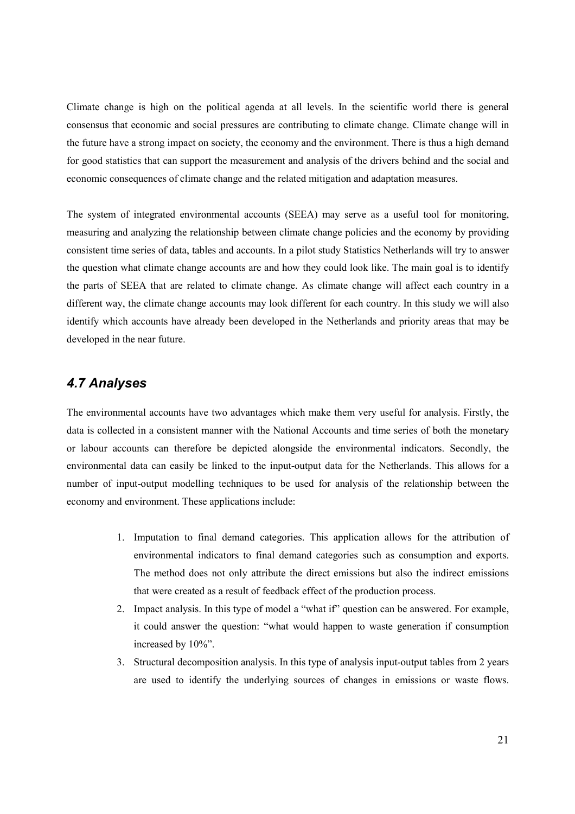Climate change is high on the political agenda at all levels. In the scientific world there is general consensus that economic and social pressures are contributing to climate change. Climate change will in the future have a strong impact on society, the economy and the environment. There is thus a high demand for good statistics that can support the measurement and analysis of the drivers behind and the social and economic consequences of climate change and the related mitigation and adaptation measures.

The system of integrated environmental accounts (SEEA) may serve as a useful tool for monitoring, measuring and analyzing the relationship between climate change policies and the economy by providing consistent time series of data, tables and accounts. In a pilot study Statistics Netherlands will try to answer the question what climate change accounts are and how they could look like. The main goal is to identify the parts of SEEA that are related to climate change. As climate change will affect each country in a different way, the climate change accounts may look different for each country. In this study we will also identify which accounts have already been developed in the Netherlands and priority areas that may be developed in the near future.

### *4.7 Analyses*

The environmental accounts have two advantages which make them very useful for analysis. Firstly, the data is collected in a consistent manner with the National Accounts and time series of both the monetary or labour accounts can therefore be depicted alongside the environmental indicators. Secondly, the environmental data can easily be linked to the input-output data for the Netherlands. This allows for a number of input-output modelling techniques to be used for analysis of the relationship between the economy and environment. These applications include:

- 1. Imputation to final demand categories. This application allows for the attribution of environmental indicators to final demand categories such as consumption and exports. The method does not only attribute the direct emissions but also the indirect emissions that were created as a result of feedback effect of the production process.
- 2. Impact analysis. In this type of model a "what if" question can be answered. For example, it could answer the question: "what would happen to waste generation if consumption increased by 10%".
- 3. Structural decomposition analysis. In this type of analysis input-output tables from 2 years are used to identify the underlying sources of changes in emissions or waste flows.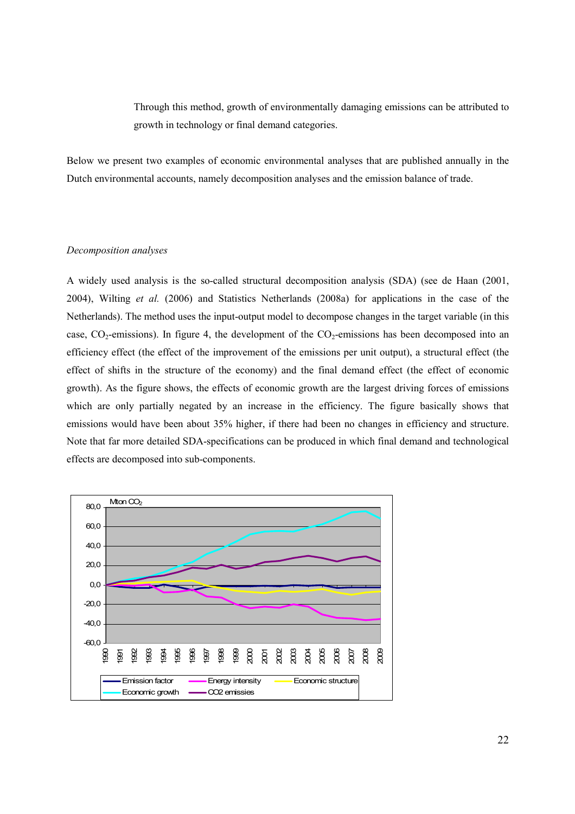Through this method, growth of environmentally damaging emissions can be attributed to growth in technology or final demand categories.

Below we present two examples of economic environmental analyses that are published annually in the Dutch environmental accounts, namely decomposition analyses and the emission balance of trade.

#### *Decomposition analyses*

A widely used analysis is the so-called structural decomposition analysis (SDA) (see de Haan (2001, 2004), Wilting *et al.* (2006) and Statistics Netherlands (2008a) for applications in the case of the Netherlands). The method uses the input-output model to decompose changes in the target variable (in this case,  $CO_2$ -emissions). In figure 4, the development of the  $CO_2$ -emissions has been decomposed into an efficiency effect (the effect of the improvement of the emissions per unit output), a structural effect (the effect of shifts in the structure of the economy) and the final demand effect (the effect of economic growth). As the figure shows, the effects of economic growth are the largest driving forces of emissions which are only partially negated by an increase in the efficiency. The figure basically shows that emissions would have been about 35% higher, if there had been no changes in efficiency and structure. Note that far more detailed SDA-specifications can be produced in which final demand and technological effects are decomposed into sub-components.

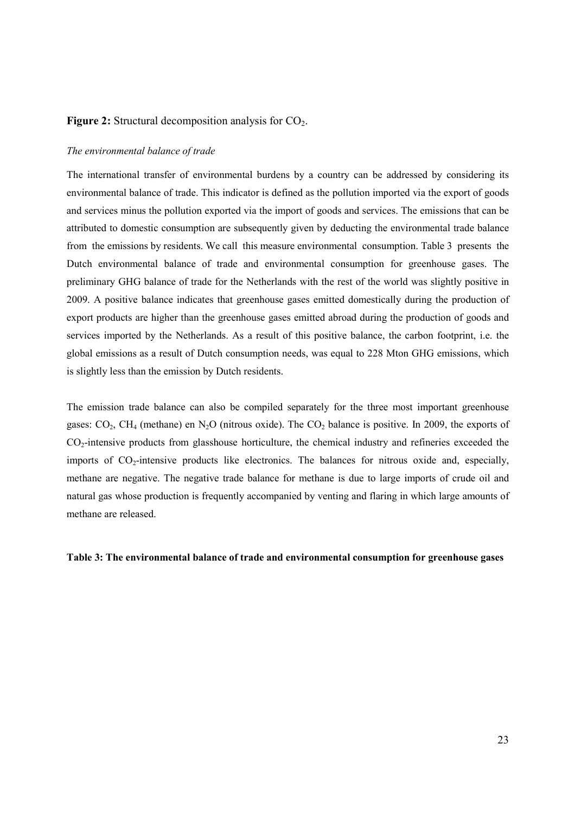#### **Figure 2:** Structural decomposition analysis for CO<sub>2</sub>.

#### *The environmental balance of trade*

The international transfer of environmental burdens by a country can be addressed by considering its environmental balance of trade. This indicator is defined as the pollution imported via the export of goods and services minus the pollution exported via the import of goods and services. The emissions that can be attributed to domestic consumption are subsequently given by deducting the environmental trade balance from the emissions by residents. We call this measure environmental consumption. Table 3 presents the Dutch environmental balance of trade and environmental consumption for greenhouse gases. The preliminary GHG balance of trade for the Netherlands with the rest of the world was slightly positive in 2009. A positive balance indicates that greenhouse gases emitted domestically during the production of export products are higher than the greenhouse gases emitted abroad during the production of goods and services imported by the Netherlands. As a result of this positive balance, the carbon footprint, i.e. the global emissions as a result of Dutch consumption needs, was equal to 228 Mton GHG emissions, which is slightly less than the emission by Dutch residents.

The emission trade balance can also be compiled separately for the three most important greenhouse gases:  $CO_2$ ,  $CH_4$  (methane) en N<sub>2</sub>O (nitrous oxide). The  $CO_2$  balance is positive. In 2009, the exports of CO2-intensive products from glasshouse horticulture, the chemical industry and refineries exceeded the imports of  $CO<sub>2</sub>$ -intensive products like electronics. The balances for nitrous oxide and, especially, methane are negative. The negative trade balance for methane is due to large imports of crude oil and natural gas whose production is frequently accompanied by venting and flaring in which large amounts of methane are released.

**Table 3: The environmental balance of trade and environmental consumption for greenhouse gases**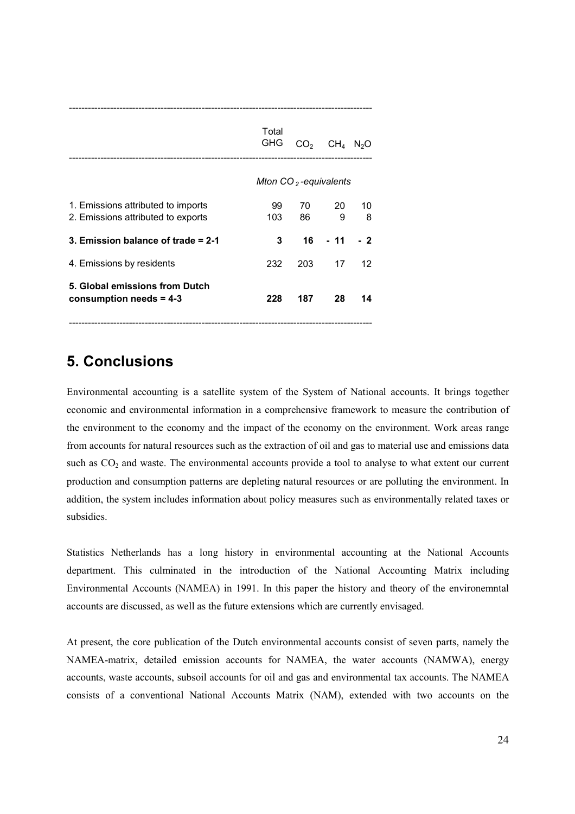|                                                                          | Total<br>GHG            | CO <sub>2</sub> | $CH4$ N <sub>2</sub> O |         |  |  |
|--------------------------------------------------------------------------|-------------------------|-----------------|------------------------|---------|--|--|
|                                                                          | Mton $CO2$ -equivalents |                 |                        |         |  |  |
| 1. Emissions attributed to imports<br>2. Emissions attributed to exports | 99<br>103               | 70<br>86        | 20<br>9                | 10<br>8 |  |  |
| 3. Emission balance of trade $= 2-1$                                     | 3                       | 16              | - 11                   | $-2$    |  |  |
| 4. Emissions by residents                                                | 232                     | 203             | 17                     | 12      |  |  |
| 5. Global emissions from Dutch<br>consumption needs $= 4-3$              | 228                     | 187             | 28                     | 14      |  |  |

------------------------------------------------------------------------------------------------

## **5. Conclusions**

Environmental accounting is a satellite system of the System of National accounts. It brings together economic and environmental information in a comprehensive framework to measure the contribution of the environment to the economy and the impact of the economy on the environment. Work areas range from accounts for natural resources such as the extraction of oil and gas to material use and emissions data such as CO<sub>2</sub> and waste. The environmental accounts provide a tool to analyse to what extent our current production and consumption patterns are depleting natural resources or are polluting the environment. In addition, the system includes information about policy measures such as environmentally related taxes or subsidies.

Statistics Netherlands has a long history in environmental accounting at the National Accounts department. This culminated in the introduction of the National Accounting Matrix including Environmental Accounts (NAMEA) in 1991. In this paper the history and theory of the environemntal accounts are discussed, as well as the future extensions which are currently envisaged.

At present, the core publication of the Dutch environmental accounts consist of seven parts, namely the NAMEA-matrix, detailed emission accounts for NAMEA, the water accounts (NAMWA), energy accounts, waste accounts, subsoil accounts for oil and gas and environmental tax accounts. The NAMEA consists of a conventional National Accounts Matrix (NAM), extended with two accounts on the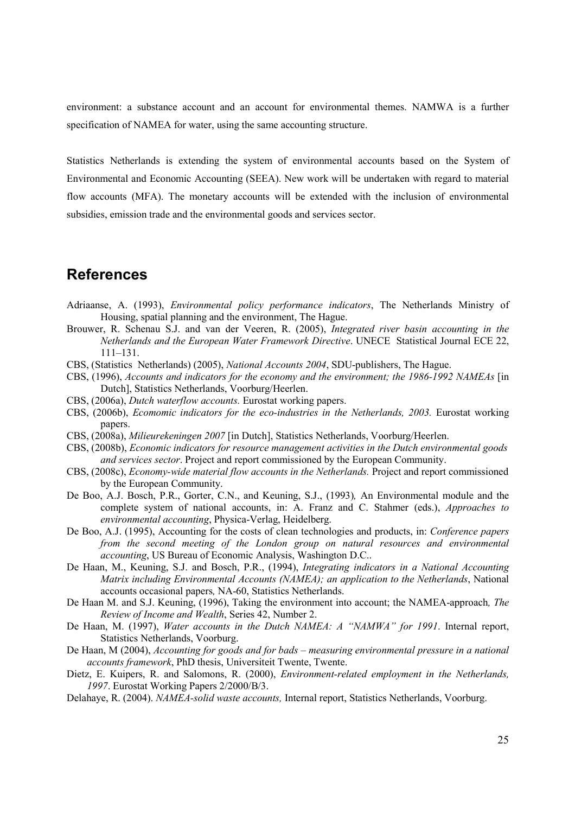environment: a substance account and an account for environmental themes. NAMWA is a further specification of NAMEA for water, using the same accounting structure.

Statistics Netherlands is extending the system of environmental accounts based on the System of Environmental and Economic Accounting (SEEA). New work will be undertaken with regard to material flow accounts (MFA). The monetary accounts will be extended with the inclusion of environmental subsidies, emission trade and the environmental goods and services sector.

## **References**

- Adriaanse, A. (1993), *Environmental policy performance indicators*, The Netherlands Ministry of Housing, spatial planning and the environment, The Hague.
- Brouwer, R. Schenau S.J. and van der Veeren, R. (2005), *Integrated river basin accounting in the Netherlands and the European Water Framework Directive*. UNECE Statistical Journal ECE 22, 111–131.
- CBS, (Statistics Netherlands) (2005), *National Accounts 2004*, SDU-publishers, The Hague.
- CBS, (1996), *Accounts and indicators for the economy and the environment; the 1986-1992 NAMEAs* [in Dutch], Statistics Netherlands, Voorburg/Heerlen.
- CBS, (2006a), *Dutch waterflow accounts.* Eurostat working papers.
- CBS, (2006b), *Ecomomic indicators for the eco-industries in the Netherlands, 2003.* Eurostat working papers.
- CBS, (2008a), *Milieurekeningen 2007* [in Dutch], Statistics Netherlands, Voorburg/Heerlen.
- CBS, (2008b), *Economic indicators for resource management activities in the Dutch environmental goods and services sector*. Project and report commissioned by the European Community.
- CBS, (2008c), *Economy-wide material flow accounts in the Netherlands.* Project and report commissioned by the European Community.
- De Boo, A.J. Bosch, P.R., Gorter, C.N., and Keuning, S.J., (1993)*,* An Environmental module and the complete system of national accounts, in: A. Franz and C. Stahmer (eds.), *Approaches to environmental accounting*, Physica-Verlag, Heidelberg.
- De Boo, A.J. (1995), Accounting for the costs of clean technologies and products, in: *Conference papers from the second meeting of the London group on natural resources and environmental accounting*, US Bureau of Economic Analysis, Washington D.C..
- De Haan, M., Keuning, S.J. and Bosch, P.R., (1994), *Integrating indicators in a National Accounting Matrix including Environmental Accounts (NAMEA); an application to the Netherlands*, National accounts occasional papers*,* NA-60, Statistics Netherlands.
- De Haan M. and S.J. Keuning, (1996), Taking the environment into account; the NAMEA-approach*, The Review of Income and Wealth*, Series 42, Number 2.
- De Haan, M. (1997), *Water accounts in the Dutch NAMEA: A "NAMWA" for 1991*. Internal report, Statistics Netherlands, Voorburg.
- De Haan, M (2004), *Accounting for goods and for bads measuring environmental pressure in a national accounts framework*, PhD thesis, Universiteit Twente, Twente.
- Dietz, E. Kuipers, R. and Salomons, R. (2000), *Environment-related employment in the Netherlands, 1997*. Eurostat Working Papers 2/2000/B/3.
- Delahaye, R. (2004). *NAMEA-solid waste accounts,* Internal report, Statistics Netherlands, Voorburg.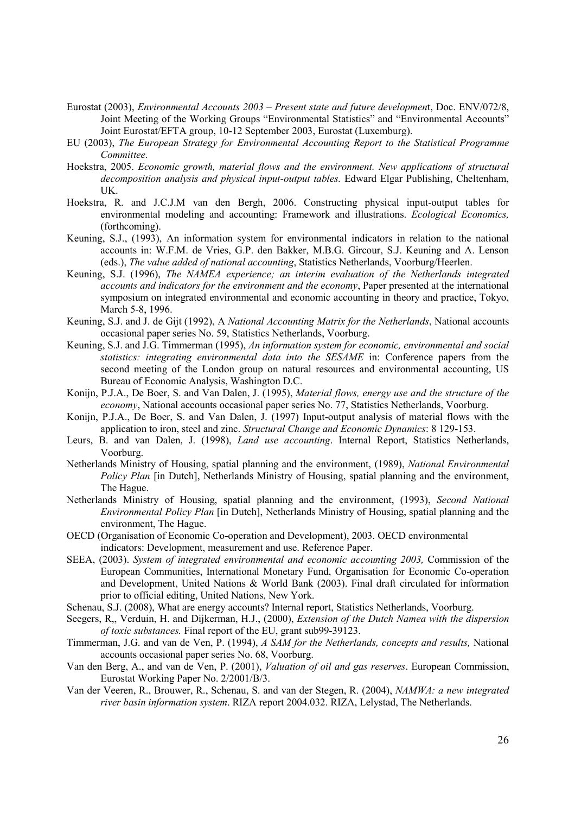- Eurostat (2003), *Environmental Accounts 2003 Present state and future developmen*t, Doc. ENV/072/8, Joint Meeting of the Working Groups "Environmental Statistics" and "Environmental Accounts" Joint Eurostat/EFTA group, 10-12 September 2003, Eurostat (Luxemburg).
- EU (2003), *The European Strategy for Environmental Accounting Report to the Statistical Programme Committee.*
- Hoekstra, 2005. *Economic growth, material flows and the environment. New applications of structural decomposition analysis and physical input-output tables.* Edward Elgar Publishing, Cheltenham, UK.
- Hoekstra, R. and J.C.J.M van den Bergh, 2006. Constructing physical input-output tables for environmental modeling and accounting: Framework and illustrations. *Ecological Economics,* (forthcoming).
- Keuning, S.J., (1993), An information system for environmental indicators in relation to the national accounts in: W.F.M. de Vries, G.P. den Bakker, M.B.G. Gircour, S.J. Keuning and A. Lenson (eds.), *The value added of national accounting*, Statistics Netherlands, Voorburg/Heerlen.
- Keuning, S.J. (1996), *The NAMEA experience; an interim evaluation of the Netherlands integrated accounts and indicators for the environment and the economy*, Paper presented at the international symposium on integrated environmental and economic accounting in theory and practice, Tokyo, March 5-8, 1996.
- Keuning, S.J. and J. de Gijt (1992), A *National Accounting Matrix for the Netherlands*, National accounts occasional paper series No. 59, Statistics Netherlands, Voorburg.
- Keuning, S.J. and J.G. Timmerman (1995), *An information system for economic, environmental and social statistics: integrating environmental data into the SESAME* in: Conference papers from the second meeting of the London group on natural resources and environmental accounting, US Bureau of Economic Analysis, Washington D.C.
- Konijn, P.J.A., De Boer, S. and Van Dalen, J. (1995), *Material flows, energy use and the structure of the economy*, National accounts occasional paper series No. 77, Statistics Netherlands, Voorburg.
- Konijn, P.J.A., De Boer, S. and Van Dalen, J. (1997) Input-output analysis of material flows with the application to iron, steel and zinc. *Structural Change and Economic Dynamics*: 8 129-153.
- Leurs, B. and van Dalen, J. (1998), *Land use accounting*. Internal Report, Statistics Netherlands, Voorburg.
- Netherlands Ministry of Housing, spatial planning and the environment, (1989), *National Environmental Policy Plan* [in Dutch], Netherlands Ministry of Housing, spatial planning and the environment, The Hague.
- Netherlands Ministry of Housing, spatial planning and the environment, (1993), *Second National Environmental Policy Plan* [in Dutch], Netherlands Ministry of Housing, spatial planning and the environment, The Hague.
- OECD (Organisation of Economic Co-operation and Development), 2003. OECD environmental indicators: Development, measurement and use. Reference Paper.
- SEEA, (2003). *System of integrated environmental and economic accounting 2003,* Commission of the European Communities, International Monetary Fund, Organisation for Economic Co-operation and Development, United Nations & World Bank (2003). Final draft circulated for information prior to official editing, United Nations, New York.
- Schenau, S.J. (2008), What are energy accounts? Internal report, Statistics Netherlands, Voorburg.
- Seegers, R,, Verduin, H. and Dijkerman, H.J., (2000), *Extension of the Dutch Namea with the dispersion of toxic substances.* Final report of the EU, grant sub99-39123.
- Timmerman, J.G. and van de Ven, P. (1994), *A SAM for the Netherlands, concepts and results,* National accounts occasional paper series No. 68, Voorburg.
- Van den Berg, A., and van de Ven, P. (2001), *Valuation of oil and gas reserves*. European Commission, Eurostat Working Paper No. 2/2001/B/3.
- Van der Veeren, R., Brouwer, R., Schenau, S. and van der Stegen, R. (2004), *NAMWA: a new integrated river basin information system*. RIZA report 2004.032. RIZA, Lelystad, The Netherlands.